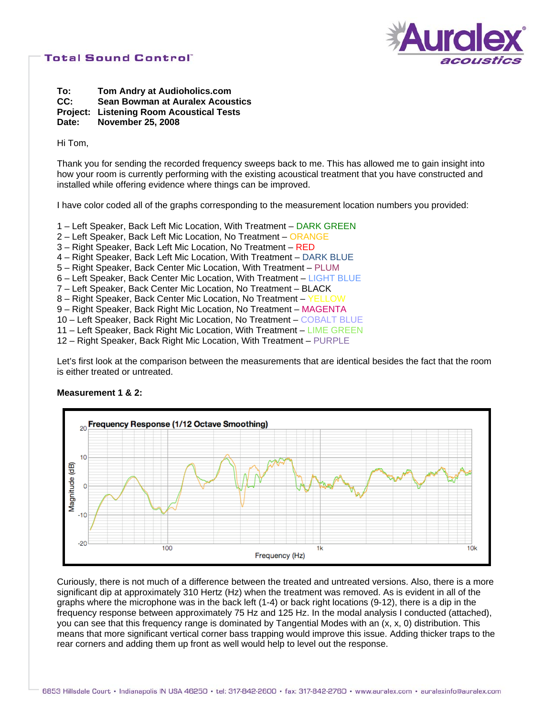

**To: Tom Andry at Audioholics.com CC: Sean Bowman at Auralex Acoustics Project: Listening Room Acoustical Tests Date: November 25, 2008** 

Hi Tom,

Thank you for sending the recorded frequency sweeps back to me. This has allowed me to gain insight into how your room is currently performing with the existing acoustical treatment that you have constructed and installed while offering evidence where things can be improved.

I have color coded all of the graphs corresponding to the measurement location numbers you provided:

- 1 Left Speaker, Back Left Mic Location, With Treatment DARK GREEN
- 2 Left Speaker, Back Left Mic Location, No Treatment ORANGE
- 3 Right Speaker, Back Left Mic Location, No Treatment RED
- 4 Right Speaker, Back Left Mic Location, With Treatment DARK BLUE
- 5 Right Speaker, Back Center Mic Location, With Treatment PLUM
- 6 Left Speaker, Back Center Mic Location, With Treatment LIGHT BLUE
- 7 Left Speaker, Back Center Mic Location, No Treatment BLACK
- 8 Right Speaker, Back Center Mic Location, No Treatment YELLOW
- 9 Right Speaker, Back Right Mic Location, No Treatment MAGENTA
- 10 Left Speaker, Back Right Mic Location, No Treatment COBALT BLUE
- 11 Left Speaker, Back Right Mic Location, With Treatment LIME GREEN
- 12 Right Speaker, Back Right Mic Location, With Treatment PURPLE

Let's first look at the comparison between the measurements that are identical besides the fact that the room is either treated or untreated.

#### **Measurement 1 & 2:**



Curiously, there is not much of a difference between the treated and untreated versions. Also, there is a more significant dip at approximately 310 Hertz (Hz) when the treatment was removed. As is evident in all of the graphs where the microphone was in the back left (1-4) or back right locations (9-12), there is a dip in the frequency response between approximately 75 Hz and 125 Hz. In the modal analysis I conducted (attached), you can see that this frequency range is dominated by Tangential Modes with an (x, x, 0) distribution. This means that more significant vertical corner bass trapping would improve this issue. Adding thicker traps to the rear corners and adding them up front as well would help to level out the response.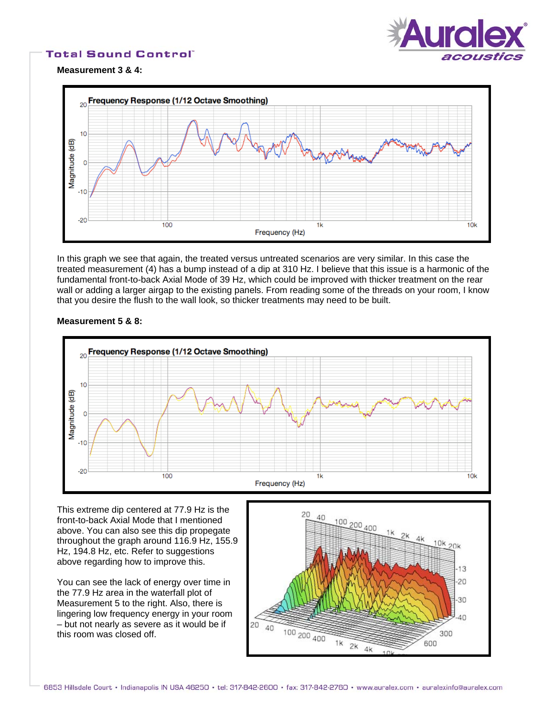

**Measurement 3 & 4:** 



In this graph we see that again, the treated versus untreated scenarios are very similar. In this case the treated measurement (4) has a bump instead of a dip at 310 Hz. I believe that this issue is a harmonic of the fundamental front-to-back Axial Mode of 39 Hz, which could be improved with thicker treatment on the rear wall or adding a larger airgap to the existing panels. From reading some of the threads on your room, I know that you desire the flush to the wall look, so thicker treatments may need to be built.

# **Measurement 5 & 8:**



This extreme dip centered at 77.9 Hz is the front-to-back Axial Mode that I mentioned above. You can also see this dip propegate throughout the graph around 116.9 Hz, 155.9 Hz, 194.8 Hz, etc. Refer to suggestions above regarding how to improve this.

You can see the lack of energy over time in the 77.9 Hz area in the waterfall plot of Measurement 5 to the right. Also, there is lingering low frequency energy in your room – but not nearly as severe as it would be if this room was closed off.

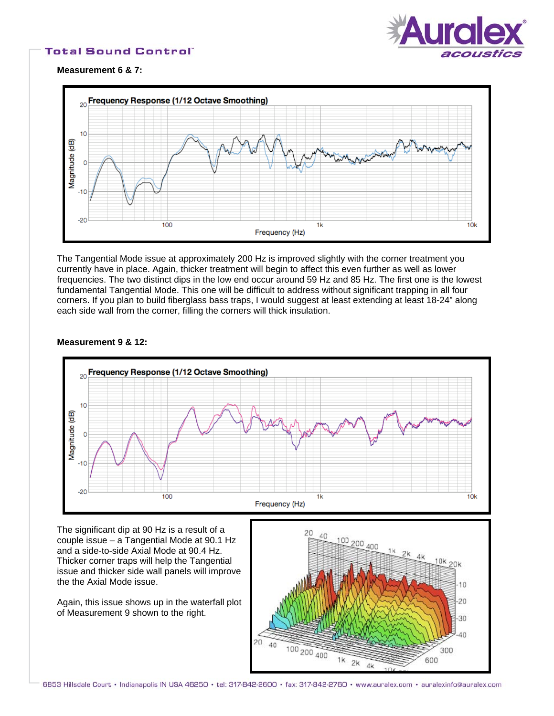

**Measurement 6 & 7:** 



The Tangential Mode issue at approximately 200 Hz is improved slightly with the corner treatment you currently have in place. Again, thicker treatment will begin to affect this even further as well as lower frequencies. The two distinct dips in the low end occur around 59 Hz and 85 Hz. The first one is the lowest fundamental Tangential Mode. This one will be difficult to address without significant trapping in all four corners. If you plan to build fiberglass bass traps, I would suggest at least extending at least 18-24" along each side wall from the corner, filling the corners will thick insulation.

### **Measurement 9 & 12:**



The significant dip at 90 Hz is a result of a couple issue – a Tangential Mode at 90.1 Hz and a side-to-side Axial Mode at 90.4 Hz. Thicker corner traps will help the Tangential issue and thicker side wall panels will improve the the Axial Mode issue.

Again, this issue shows up in the waterfall plot of Measurement 9 shown to the right.